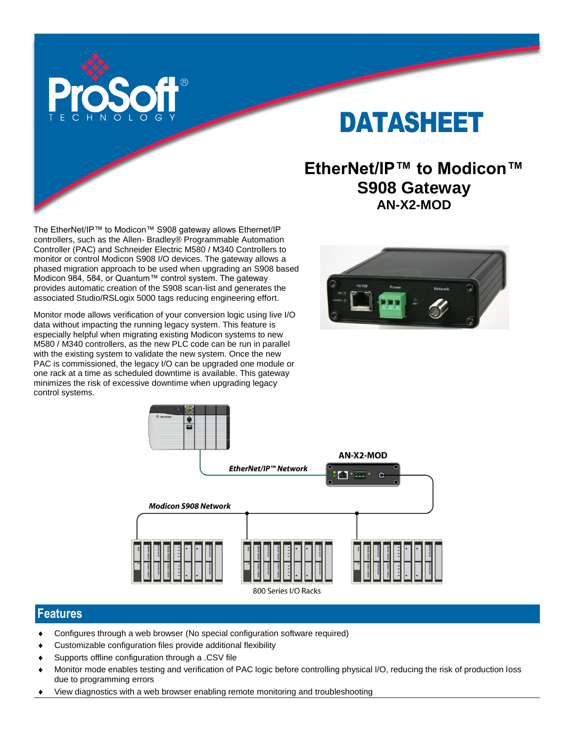

# DATASHEET

## **EtherNet/IP™ to Modicon™ S908 Gateway AN-X2-MOD**

The EtherNet/IP™ to Modicon™ S908 gateway allows Ethernet/IP controllers, such as the Allen- Bradley® Programmable Automation Controller (PAC) and Schneider Electric M580 / M340 Controllers to monitor or control Modicon S908 I/O devices. The gateway allows a phased migration approach to be used when upgrading an S908 based Modicon 984, 584, or Quantum™ control system. The gateway provides automatic creation of the S908 scan-list and generates the associated Studio/RSLogix 5000 tags reducing engineering effort.

Monitor mode allows verification of your conversion logic using live I/O data without impacting the running legacy system. This feature is especially helpful when migrating existing Modicon systems to new M580 / M340 controllers, as the new PLC code can be run in parallel with the existing system to validate the new system. Once the new PAC is commissioned, the legacy I/O can be upgraded one module or one rack at a time as scheduled downtime is available. This gateway minimizes the risk of excessive downtime when upgrading legacy control systems.





#### **Features**

- Configures through a web browser (No special configuration software required)
- Customizable configuration files provide additional flexibility
- Supports offline configuration through a .CSV file
- Monitor mode enables testing and verification of PAC logic before controlling physical I/O, reducing the risk of production loss due to programming errors
- View diagnostics with a web browser enabling remote monitoring and troubleshooting